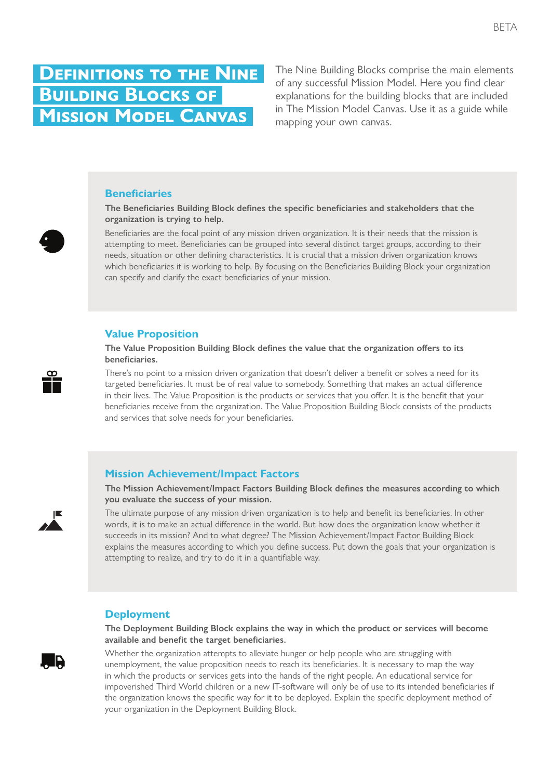# **Definitions to the Nine Building Blocks of Mission Model Canvas**  *Mission/Problem Description: Designed by: Date: Version:*

The Nine Building Blocks comprise the main elements of any successful Mission Model. Here you find clear explanations for the building blocks that are included in The Mission Model Canvas. Use it as a guide while mapping your own canvas.

### **Beneficiaries**

**The Beneficiaries Building Block defines the specific beneficiaries and stakeholders that the organization is trying to help.**

Beneficiaries are the focal point of any mission driven organization. It is their needs that the mission is attempting to meet. Beneficiaries can be grouped into several distinct target groups, according to their needs, situation or other defining characteristics. It is crucial that a mission driven organization knows which beneficiaries it is working to help. By focusing on the Beneficiaries Building Block your organization can specify and clarify the exact beneficiaries of your mission.

### **Value Proposition**

**The Value Proposition Building Block defines the value that the organization offers to its beneficiaries.**

There's no point to a mission driven organization that doesn't deliver a benefit or solves a need for its targeted beneficiaries. It must be of real value to somebody. Something that makes an actual difference targeted beneficiaries. It must be of real value to somebody. Something that makes an actual difference in their lives. The Value Proposition is the products or services that you offer. It is the benefit that your beneficiaries receive from the organization. The Value Proposition Building Block consists of the products and services that solve needs for your beneficiaries. *Mission/Problem Description: Designed by: Date: Version:*

#### **Mission Achievement/Impact Factors** Key Partners Key Activities Value Propositions Beneficiaries

**The Mission Achievement/Impact Factors Building Block defines the measures according to which you evaluate the success of your mission.**

The ultimate purpose of any mission driven organization is to help and benefit its beneficiaries. In other words, it is to make an actual difference in the world. But how does the organization know whether it succeeds in its mission? And to what degree? The Mission Achievement/Impact Factor Building Block explains the measures according to which you define success. Put down the goals that your organization is attempting to realize, and try to do it in a quantifiable way.

### **Deployment** Key Resources Deployment

. R

**The Deployment Building Block explains the way in which the product or services will become available and benefit the target beneficiaries.**

Whether the organization attempts to alleviate hunger or help people who are struggling with unemployment, the value proposition needs to reach its beneficiaries. It is necessary to map the way in which the products or services gets into the hands of the right people. An educational service for impoverished Third World children or a new IT-software will only be of use to its intended beneficiaries if the organization knows the specific way for it to be deployed. Explain the specific deployment method of your organization in the Deployment Building Block.